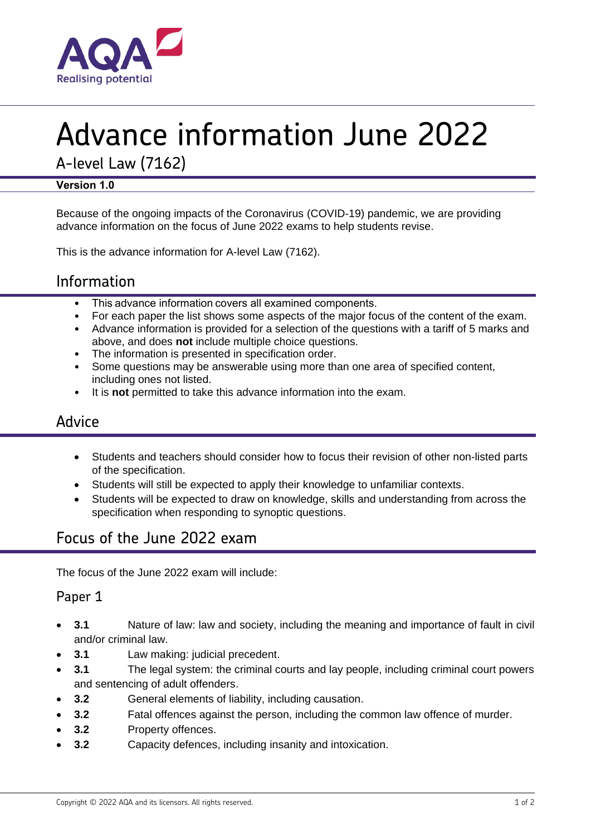

# Advance information June 2022

A-level Law (7162)

#### **Version 1.0**

Because of the ongoing impacts of the Coronavirus (COVID-19) pandemic, we are providing advance information on the focus of June 2022 exams to help students revise.

This is the advance information for A-level Law (7162).

# Information

- This advance information covers all examined components.
- For each paper the list shows some aspects of the major focus of the content of the exam.
- Advance information is provided for a selection of the questions with a tariff of 5 marks and above, and does **not** include multiple choice questions.
- The information is presented in specification order.
- Some questions may be answerable using more than one area of specified content, including ones not listed.
- It is **not** permitted to take this advance information into the exam.

## Advice

- Students and teachers should consider how to focus their revision of other non-listed parts of the specification.
- Students will still be expected to apply their knowledge to unfamiliar contexts.
- Students will be expected to draw on knowledge, skills and understanding from across the specification when responding to synoptic questions.

# Focus of the June 2022 exam

The focus of the June 2022 exam will include:

#### Paper 1

- **3.1** Nature of law: law and society, including the meaning and importance of fault in civil and/or criminal law.
- **3.1** Law making: judicial precedent.
- **3.1** The legal system: the criminal courts and lay people, including criminal court powers and sentencing of adult offenders.
- **3.2** General elements of liability, including causation.
- **3.2** Fatal offences against the person, including the common law offence of murder.
- **3.2** Property offences.
- **3.2** Capacity defences, including insanity and intoxication.